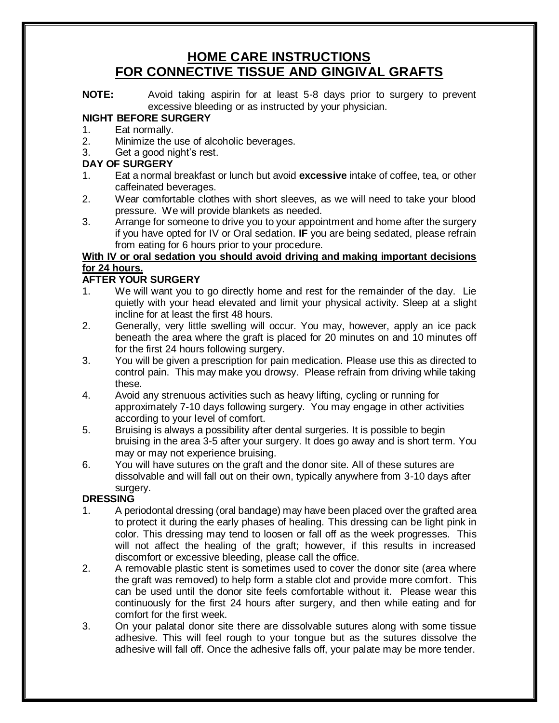# **HOME CARE INSTRUCTIONS FOR CONNECTIVE TISSUE AND GINGIVAL GRAFTS**

**NOTE:** Avoid taking aspirin for at least 5-8 days prior to surgery to prevent excessive bleeding or as instructed by your physician.

# **NIGHT BEFORE SURGERY**

- 1. Eat normally.<br>2. Minimize the u
- Minimize the use of alcoholic beverages.
- 3. Get a good night's rest.

### **DAY OF SURGERY**

- 1. Eat a normal breakfast or lunch but avoid **excessive** intake of coffee, tea, or other caffeinated beverages.
- 2. Wear comfortable clothes with short sleeves, as we will need to take your blood pressure. We will provide blankets as needed.
- 3. Arrange for someone to drive you to your appointment and home after the surgery if you have opted for IV or Oral sedation. **IF** you are being sedated, please refrain from eating for 6 hours prior to your procedure.

# **With IV or oral sedation you should avoid driving and making important decisions for 24 hours.**

# **AFTER YOUR SURGERY**

- 1. We will want you to go directly home and rest for the remainder of the day. Lie quietly with your head elevated and limit your physical activity. Sleep at a slight incline for at least the first 48 hours.
- 2. Generally, very little swelling will occur. You may, however, apply an ice pack beneath the area where the graft is placed for 20 minutes on and 10 minutes off for the first 24 hours following surgery.
- 3. You will be given a prescription for pain medication. Please use this as directed to control pain. This may make you drowsy. Please refrain from driving while taking these.
- 4. Avoid any strenuous activities such as heavy lifting, cycling or running for approximately 7-10 days following surgery. You may engage in other activities according to your level of comfort.
- 5. Bruising is always a possibility after dental surgeries. It is possible to begin bruising in the area 3-5 after your surgery. It does go away and is short term. You may or may not experience bruising.
- 6. You will have sutures on the graft and the donor site. All of these sutures are dissolvable and will fall out on their own, typically anywhere from 3-10 days after surgery.

# **DRESSING**

- 1. A periodontal dressing (oral bandage) may have been placed over the grafted area to protect it during the early phases of healing. This dressing can be light pink in color. This dressing may tend to loosen or fall off as the week progresses. This will not affect the healing of the graft; however, if this results in increased discomfort or excessive bleeding, please call the office.
- 2. A removable plastic stent is sometimes used to cover the donor site (area where the graft was removed) to help form a stable clot and provide more comfort. This can be used until the donor site feels comfortable without it. Please wear this continuously for the first 24 hours after surgery, and then while eating and for comfort for the first week.
- 3. On your palatal donor site there are dissolvable sutures along with some tissue adhesive. This will feel rough to your tongue but as the sutures dissolve the adhesive will fall off. Once the adhesive falls off, your palate may be more tender.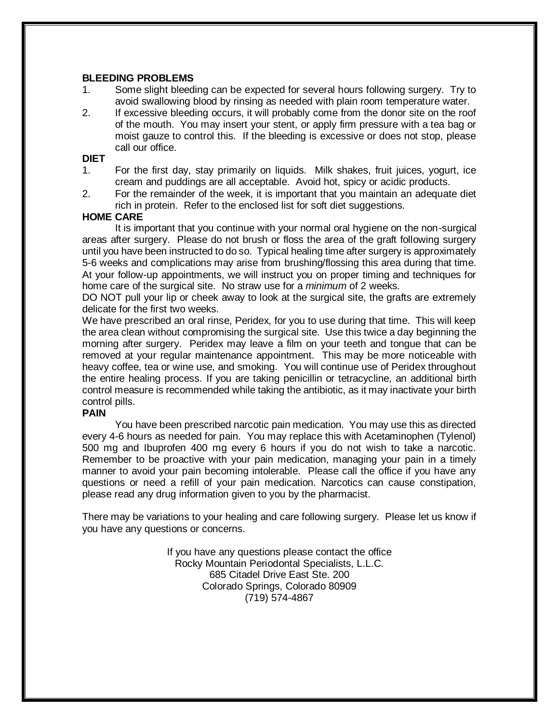### **BLEEDING PROBLEMS**

- 1. Some slight bleeding can be expected for several hours following surgery. Try to avoid swallowing blood by rinsing as needed with plain room temperature water.
- 2. If excessive bleeding occurs, it will probably come from the donor site on the roof of the mouth. You may insert your stent, or apply firm pressure with a tea bag or moist gauze to control this. If the bleeding is excessive or does not stop, please call our office.

### **DIET**

- 1. For the first day, stay primarily on liquids. Milk shakes, fruit juices, yogurt, ice cream and puddings are all acceptable. Avoid hot, spicy or acidic products.
- 2. For the remainder of the week, it is important that you maintain an adequate diet rich in protein. Refer to the enclosed list for soft diet suggestions.

### **HOME CARE**

It is important that you continue with your normal oral hygiene on the non-surgical areas after surgery. Please do not brush or floss the area of the graft following surgery until you have been instructed to do so. Typical healing time after surgery is approximately 5-6 weeks and complications may arise from brushing/flossing this area during that time. At your follow-up appointments, we will instruct you on proper timing and techniques for home care of the surgical site. No straw use for a *minimum* of 2 weeks.

DO NOT pull your lip or cheek away to look at the surgical site, the grafts are extremely delicate for the first two weeks.

We have prescribed an oral rinse, Peridex, for you to use during that time. This will keep the area clean without compromising the surgical site. Use this twice a day beginning the morning after surgery. Peridex may leave a film on your teeth and tongue that can be removed at your regular maintenance appointment. This may be more noticeable with heavy coffee, tea or wine use, and smoking. You will continue use of Peridex throughout the entire healing process. If you are taking penicillin or tetracycline, an additional birth control measure is recommended while taking the antibiotic, as it may inactivate your birth control pills.

### **PAIN**

You have been prescribed narcotic pain medication. You may use this as directed every 4-6 hours as needed for pain. You may replace this with Acetaminophen (Tylenol) 500 mg and Ibuprofen 400 mg every 6 hours if you do not wish to take a narcotic. Remember to be proactive with your pain medication, managing your pain in a timely manner to avoid your pain becoming intolerable. Please call the office if you have any questions or need a refill of your pain medication. Narcotics can cause constipation, please read any drug information given to you by the pharmacist.

There may be variations to your healing and care following surgery. Please let us know if you have any questions or concerns.

> If you have any questions please contact the office Rocky Mountain Periodontal Specialists, L.L.C. 685 Citadel Drive East Ste. 200 Colorado Springs, Colorado 80909 (719) 574-4867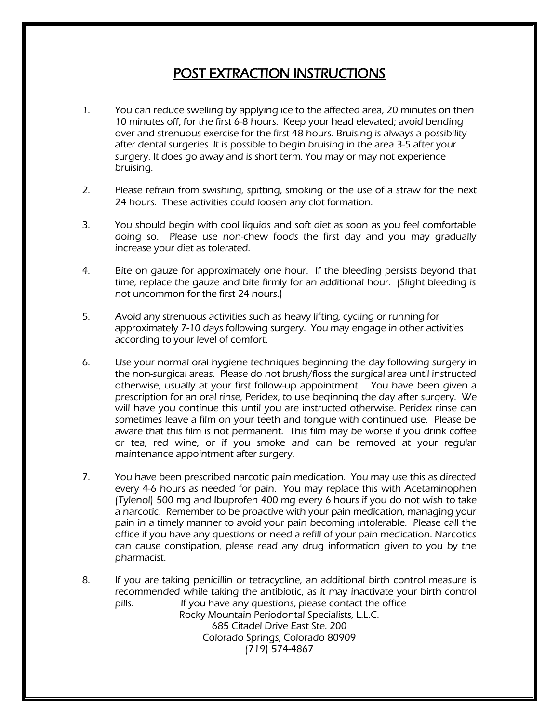# POST EXTRACTION INSTRUCTIONS

- 1. You can reduce swelling by applying ice to the affected area, 20 minutes on then 10 minutes off, for the first 6-8 hours. Keep your head elevated; avoid bending over and strenuous exercise for the first 48 hours. Bruising is always a possibility after dental surgeries. It is possible to begin bruising in the area 3-5 after your surgery. It does go away and is short term. You may or may not experience bruising.
- 2. Please refrain from swishing, spitting, smoking or the use of a straw for the next 24 hours. These activities could loosen any clot formation.
- 3. You should begin with cool liquids and soft diet as soon as you feel comfortable doing so. Please use non-chew foods the first day and you may gradually increase your diet as tolerated.
- 4. Bite on gauze for approximately one hour. If the bleeding persists beyond that time, replace the gauze and bite firmly for an additional hour. (Slight bleeding is not uncommon for the first 24 hours.)
- 5. Avoid any strenuous activities such as heavy lifting, cycling or running for approximately 7-10 days following surgery. You may engage in other activities according to your level of comfort.
- 6. Use your normal oral hygiene techniques beginning the day following surgery in the non-surgical areas. Please do not brush/floss the surgical area until instructed otherwise, usually at your first follow-up appointment. You have been given a prescription for an oral rinse, Peridex, to use beginning the day after surgery. We will have you continue this until you are instructed otherwise. Peridex rinse can sometimes leave a film on your teeth and tongue with continued use. Please be aware that this film is not permanent. This film may be worse if you drink coffee or tea, red wine, or if you smoke and can be removed at your regular maintenance appointment after surgery.
- 7. You have been prescribed narcotic pain medication. You may use this as directed every 4-6 hours as needed for pain. You may replace this with Acetaminophen (Tylenol) 500 mg and Ibuprofen 400 mg every 6 hours if you do not wish to take a narcotic. Remember to be proactive with your pain medication, managing your pain in a timely manner to avoid your pain becoming intolerable. Please call the office if you have any questions or need a refill of your pain medication. Narcotics can cause constipation, please read any drug information given to you by the pharmacist.
- 8. If you are taking penicillin or tetracycline, an additional birth control measure is recommended while taking the antibiotic, as it may inactivate your birth control pills. If you have any questions, please contact the office Rocky Mountain Periodontal Specialists, L.L.C. 685 Citadel Drive East Ste. 200 Colorado Springs, Colorado 80909 (719) 574-4867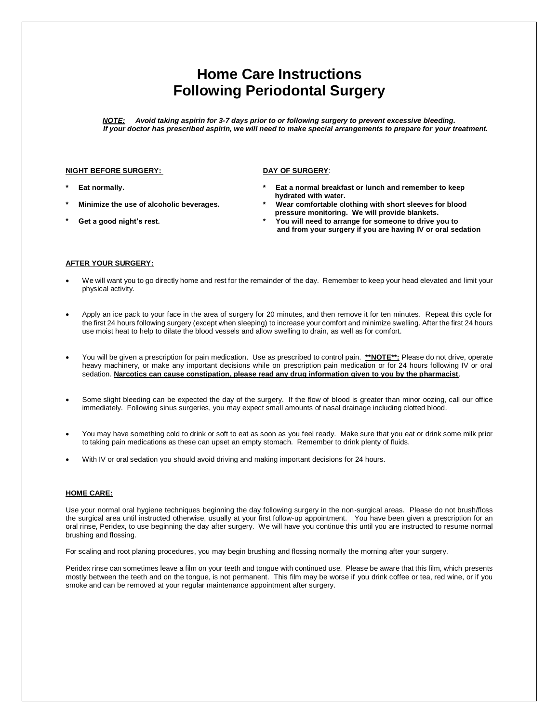# **Home Care Instructions Following Periodontal Surgery**

*NOTE: Avoid taking aspirin for 3-7 days prior to or following surgery to prevent excessive bleeding. If your doctor has prescribed aspirin, we will need to make special arrangements to prepare for your treatment.*

#### **NIGHT BEFORE SURGERY:** DAY OF SURGERY:

- 
- 
- 
- 
- **\* Eat normally. \* Eat a normal breakfast or lunch and remember to keep hydrated with water.**
- **\* Minimize the use of alcoholic beverages. \* Wear comfortable clothing with short sleeves for blood pressure monitoring. We will provide blankets.**
- **\* Get a good night's rest. \* You will need to arrange for someone to drive you to and from your surgery if you are having IV or oral sedation**

#### **AFTER YOUR SURGERY:**

- We will want you to go directly home and rest for the remainder of the day. Remember to keep your head elevated and limit your physical activity.
- Apply an ice pack to your face in the area of surgery for 20 minutes, and then remove it for ten minutes. Repeat this cycle for the first 24 hours following surgery (except when sleeping) to increase your comfort and minimize swelling. After the first 24 hours use moist heat to help to dilate the blood vessels and allow swelling to drain, as well as for comfort.
- You will be given a prescription for pain medication. Use as prescribed to control pain. **\*\*NOTE\*\*:** Please do not drive, operate heavy machinery, or make any important decisions while on prescription pain medication or for 24 hours following IV or oral sedation. **Narcotics can cause constipation, please read any drug information given to you by the pharmacist**.
- Some slight bleeding can be expected the day of the surgery. If the flow of blood is greater than minor oozing, call our office immediately. Following sinus surgeries, you may expect small amounts of nasal drainage including clotted blood.
- You may have something cold to drink or soft to eat as soon as you feel ready. Make sure that you eat or drink some milk prior to taking pain medications as these can upset an empty stomach. Remember to drink plenty of fluids.
- With IV or oral sedation you should avoid driving and making important decisions for 24 hours.

#### **HOME CARE:**

Use your normal oral hygiene techniques beginning the day following surgery in the non-surgical areas. Please do not brush/floss the surgical area until instructed otherwise, usually at your first follow-up appointment. You have been given a prescription for an oral rinse, Peridex, to use beginning the day after surgery. We will have you continue this until you are instructed to resume normal brushing and flossing.

For scaling and root planing procedures, you may begin brushing and flossing normally the morning after your surgery.

Peridex rinse can sometimes leave a film on your teeth and tongue with continued use. Please be aware that this film, which presents mostly between the teeth and on the tongue, is not permanent. This film may be worse if you drink coffee or tea, red wine, or if you smoke and can be removed at your regular maintenance appointment after surgery.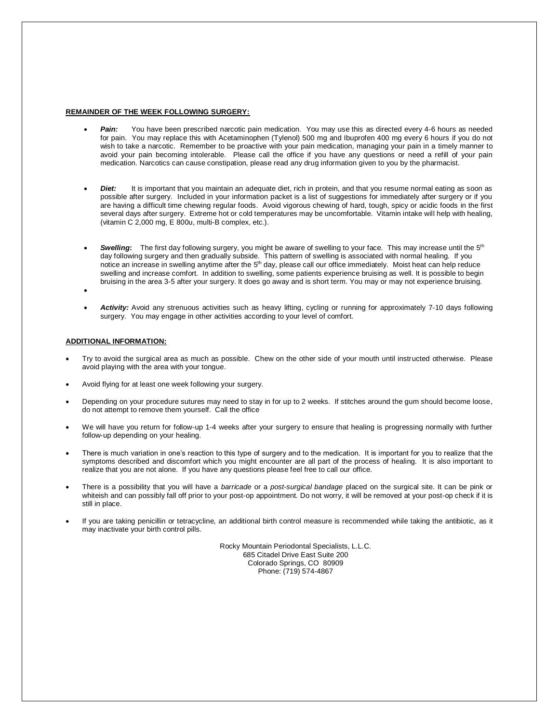#### **REMAINDER OF THE WEEK FOLLOWING SURGERY:**

- Pain: You have been prescribed narcotic pain medication. You may use this as directed every 4-6 hours as needed for pain. You may replace this with Acetaminophen (Tylenol) 500 mg and Ibuprofen 400 mg every 6 hours if you do not wish to take a narcotic. Remember to be proactive with your pain medication, managing your pain in a timely manner to avoid your pain becoming intolerable. Please call the office if you have any questions or need a refill of your pain medication. Narcotics can cause constipation, please read any drug information given to you by the pharmacist.
- **Diet:** It is important that you maintain an adequate diet, rich in protein, and that you resume normal eating as soon as possible after surgery. Included in your information packet is a list of suggestions for immediately after surgery or if you are having a difficult time chewing regular foods. Avoid vigorous chewing of hard, tough, spicy or acidic foods in the first several days after surgery. Extreme hot or cold temperatures may be uncomfortable. Vitamin intake will help with healing, (vitamin C 2,000 mg, E 800u, multi-B complex, etc.).
- Swelling: The first day following surgery, you might be aware of swelling to your face. This may increase until the 5<sup>th</sup> day following surgery and then gradually subside. This pattern of swelling is associated with normal healing. If you notice an increase in swelling anytime after the 5<sup>th</sup> day, please call our office immediately. Moist heat can help reduce swelling and increase comfort. In addition to swelling, some patients experience bruising as well. It is possible to begin bruising in the area 3-5 after your surgery. It does go away and is short term. You may or may not experience bruising.

 $\bullet$ 

 *Activity:* Avoid any strenuous activities such as heavy lifting, cycling or running for approximately 7-10 days following surgery. You may engage in other activities according to your level of comfort.

#### **ADDITIONAL INFORMATION:**

- Try to avoid the surgical area as much as possible. Chew on the other side of your mouth until instructed otherwise. Please avoid playing with the area with your tongue.
- Avoid flying for at least one week following your surgery.
- Depending on your procedure sutures may need to stay in for up to 2 weeks. If stitches around the gum should become loose, do not attempt to remove them yourself. Call the office
- We will have you return for follow-up 1-4 weeks after your surgery to ensure that healing is progressing normally with further follow-up depending on your healing.
- There is much variation in one's reaction to this type of surgery and to the medication. It is important for you to realize that the symptoms described and discomfort which you might encounter are all part of the process of healing. It is also important to realize that you are not alone. If you have any questions please feel free to call our office.
- There is a possibility that you will have a *barricade* or a *post-surgical bandage* placed on the surgical site. It can be pink or whiteish and can possibly fall off prior to your post-op appointment. Do not worry, it will be removed at your post-op check if it is still in place.
- If you are taking penicillin or tetracycline, an additional birth control measure is recommended while taking the antibiotic, as it may inactivate your birth control pills.

Rocky Mountain Periodontal Specialists, L.L.C. 685 Citadel Drive East Suite 200 Colorado Springs, CO 80909 Phone: (719) 574-4867